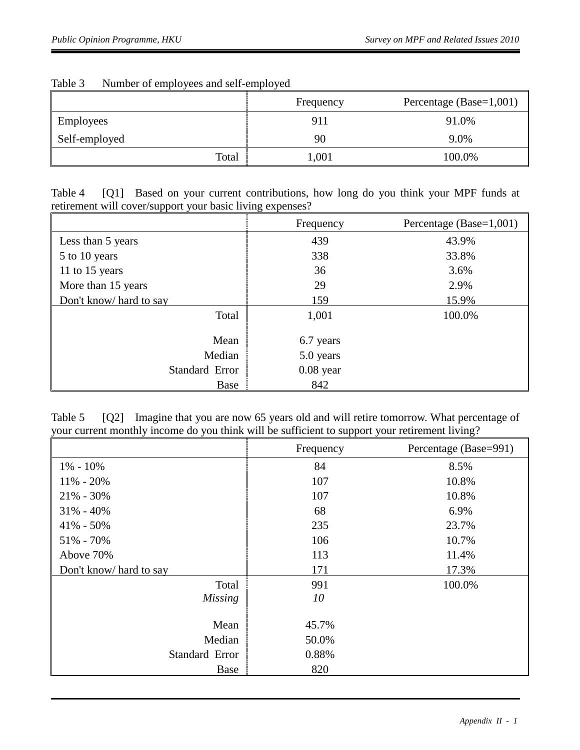|                  | Frequency | Percentage (Base=1,001) |
|------------------|-----------|-------------------------|
| <b>Employees</b> | 911       | 91.0%                   |
| Self-employed    | 90        | 9.0%                    |
| Total            | ,001      | 100.0%                  |

## Table 3 Number of employees and self-employed

Table 4 [Q1] Based on your current contributions, how long do you think your MPF funds at retirement will cover/support your basic living expenses?

|                         | Frequency   | Percentage (Base=1,001) |
|-------------------------|-------------|-------------------------|
| Less than 5 years       | 439         | 43.9%                   |
| 5 to 10 years           | 338         | 33.8%                   |
| 11 to 15 years          | 36          | 3.6%                    |
| More than 15 years      | 29          | 2.9%                    |
| Don't know/ hard to say | 159         | 15.9%                   |
| Total                   | 1,001       | 100.0%                  |
| Mean                    | 6.7 years   |                         |
| Median                  | 5.0 years   |                         |
| Standard Error          | $0.08$ year |                         |
| Base                    | 842         |                         |

Table 5 [Q2] Imagine that you are now 65 years old and will retire tomorrow. What percentage of your current monthly income do you think will be sufficient to support your retirement living?

|                         | Frequency | Percentage (Base=991) |
|-------------------------|-----------|-----------------------|
| $1\% - 10\%$            | 84        | 8.5%                  |
| $11\% - 20\%$           | 107       | 10.8%                 |
| $21\% - 30\%$           | 107       | 10.8%                 |
| $31\% - 40\%$           | 68        | 6.9%                  |
| $41\% - 50\%$           | 235       | 23.7%                 |
| $51\% - 70\%$           | 106       | 10.7%                 |
| Above 70%               | 113       | 11.4%                 |
| Don't know/ hard to say | 171       | 17.3%                 |
| Total                   | 991       | 100.0%                |
| <b>Missing</b>          | 10        |                       |
|                         |           |                       |
| Mean                    | 45.7%     |                       |
| Median                  | 50.0%     |                       |
| Standard Error          | 0.88%     |                       |
| Base                    | 820       |                       |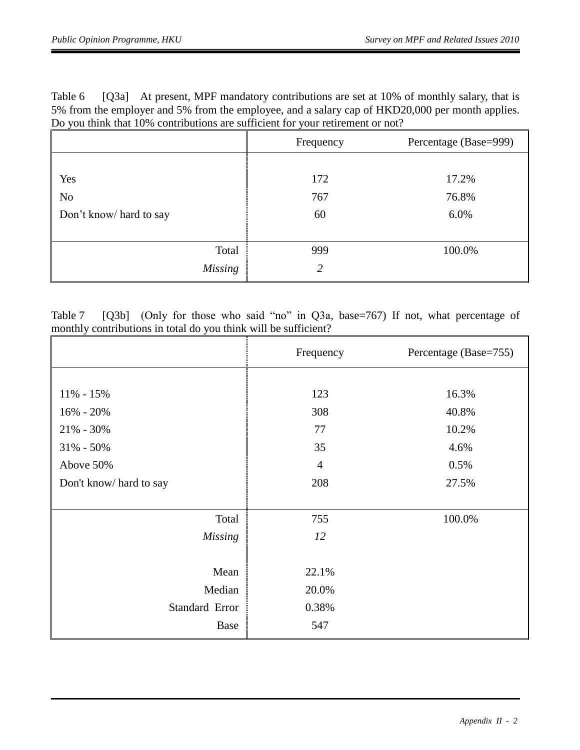Table 6 [Q3a] At present, MPF mandatory contributions are set at 10% of monthly salary, that is 5% from the employer and 5% from the employee, and a salary cap of HKD20,000 per month applies. Do you think that 10% contributions are sufficient for your retirement or not?

|                         | Frequency | Percentage (Base=999) |
|-------------------------|-----------|-----------------------|
| Yes                     | 172       | 17.2%                 |
| N <sub>o</sub>          | 767       | 76.8%                 |
| Don't know/ hard to say | 60        | 6.0%                  |
|                         |           |                       |
| Total                   | 999       | 100.0%                |
| <b>Missing</b>          | 2         |                       |

Table 7 [Q3b] (Only for those who said "no" in Q3a, base=767) If not, what percentage of monthly contributions in total do you think will be sufficient?

|                        | Frequency      | Percentage (Base=755) |
|------------------------|----------------|-----------------------|
|                        |                |                       |
| $11\% - 15\%$          | 123            | 16.3%                 |
| $16\% - 20\%$          | 308            | 40.8%                 |
| $21\% - 30\%$          | 77             | 10.2%                 |
| $31\% - 50\%$          | 35             | 4.6%                  |
| Above 50%              | $\overline{4}$ | 0.5%                  |
| Don't know/hard to say | 208            | 27.5%                 |
|                        |                |                       |
| Total                  | 755            | 100.0%                |
| <b>Missing</b>         | 12             |                       |
|                        |                |                       |
| Mean                   | 22.1%          |                       |
| Median                 | 20.0%          |                       |
| Standard Error         | 0.38%          |                       |
| Base                   | 547            |                       |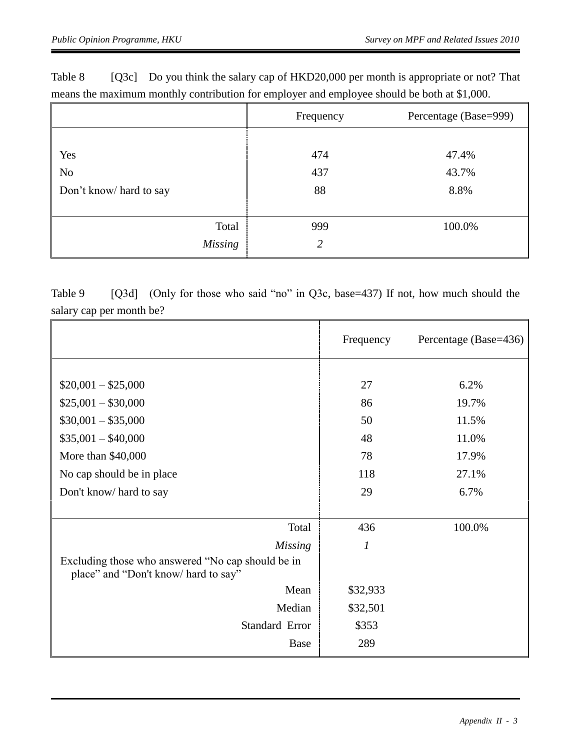|                         | Frequency      | Percentage (Base=999) |
|-------------------------|----------------|-----------------------|
|                         |                |                       |
| Yes                     | 474            | 47.4%                 |
| No                      | 437            | 43.7%                 |
| Don't know/ hard to say | 88             | 8.8%                  |
|                         |                |                       |
| Total                   | 999            | 100.0%                |
| <b>Missing</b>          | $\overline{2}$ |                       |

Table 8 [Q3c] Do you think the salary cap of HKD20,000 per month is appropriate or not? That means the maximum monthly contribution for employer and employee should be both at \$1,000.

Table 9 [Q3d] (Only for those who said "no" in Q3c, base=437) If not, how much should the salary cap per month be?

|                                                                                           | Frequency        | Percentage (Base=436) |
|-------------------------------------------------------------------------------------------|------------------|-----------------------|
|                                                                                           |                  |                       |
| $$20,001 - $25,000$                                                                       | 27               | 6.2%                  |
| $$25,001 - $30,000$                                                                       | 86               | 19.7%                 |
| $$30,001 - $35,000$                                                                       | 50               | 11.5%                 |
| $$35,001 - $40,000$                                                                       | 48               | 11.0%                 |
| More than \$40,000                                                                        | 78               | 17.9%                 |
| No cap should be in place                                                                 | 118              | 27.1%                 |
| Don't know/ hard to say                                                                   | 29               | 6.7%                  |
|                                                                                           |                  |                       |
| Total                                                                                     | 436              | 100.0%                |
| <b>Missing</b>                                                                            | $\boldsymbol{l}$ |                       |
| Excluding those who answered "No cap should be in<br>place" and "Don't know/ hard to say" |                  |                       |
| Mean                                                                                      | \$32,933         |                       |
| Median                                                                                    | \$32,501         |                       |
| Standard Error                                                                            | \$353            |                       |
| Base                                                                                      | 289              |                       |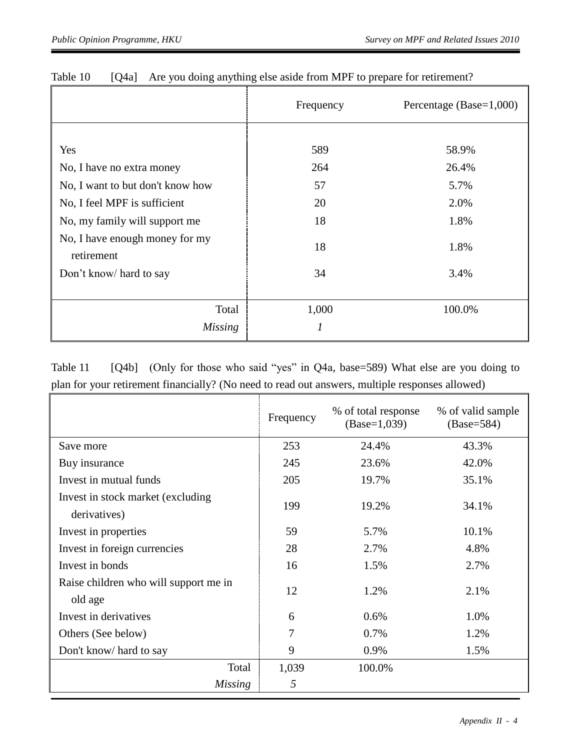|                                              | Frequency | Percentage (Base=1,000) |
|----------------------------------------------|-----------|-------------------------|
|                                              |           |                         |
| Yes                                          | 589       | 58.9%                   |
| No, I have no extra money                    | 264       | 26.4%                   |
| No, I want to but don't know how             | 57        | 5.7%                    |
| No, I feel MPF is sufficient                 | 20        | 2.0%                    |
| No, my family will support me                | 18        | 1.8%                    |
| No, I have enough money for my<br>retirement | 18        | 1.8%                    |
| Don't know/ hard to say                      | 34        | 3.4%                    |
|                                              |           |                         |
| Total                                        | 1,000     | 100.0%                  |
| <b>Missing</b>                               | 1         |                         |

| Table 10 |                                                                             |
|----------|-----------------------------------------------------------------------------|
|          | [Q4a] Are you doing anything else aside from MPF to prepare for retirement? |

Table 11 [Q4b] (Only for those who said "yes" in Q4a, base=589) What else are you doing to plan for your retirement financially? (No need to read out answers, multiple responses allowed)

|                                                   | Frequency | % of total response<br>$(Base=1,039)$ | % of valid sample<br>$(Base=584)$ |
|---------------------------------------------------|-----------|---------------------------------------|-----------------------------------|
| Save more                                         | 253       | 24.4%                                 | 43.3%                             |
| Buy insurance                                     | 245       | 23.6%                                 | 42.0%                             |
| Invest in mutual funds                            | 205       | 19.7%                                 | 35.1%                             |
| Invest in stock market (excluding<br>derivatives) | 199       | 19.2%                                 | 34.1%                             |
| Invest in properties                              | 59        | 5.7%                                  | 10.1%                             |
| Invest in foreign currencies                      | 28        | 2.7%                                  | 4.8%                              |
| Invest in bonds                                   | 16        | 1.5%                                  | 2.7%                              |
| Raise children who will support me in<br>old age  | 12        | 1.2%                                  | 2.1%                              |
| Invest in derivatives                             | 6         | 0.6%                                  | 1.0%                              |
| Others (See below)                                | 7         | 0.7%                                  | 1.2%                              |
| Don't know/ hard to say                           | 9         | 0.9%                                  | 1.5%                              |
| Total                                             | 1,039     | 100.0%                                |                                   |
| <b>Missing</b>                                    | 5         |                                       |                                   |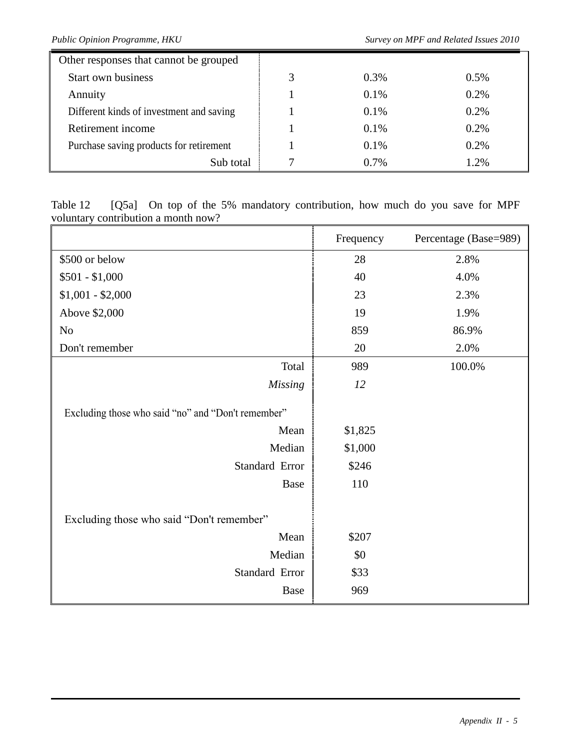| Other responses that cannot be grouped   |   |         |         |
|------------------------------------------|---|---------|---------|
| <b>Start own business</b>                | 3 | $0.3\%$ | $0.5\%$ |
| Annuity                                  |   | 0.1%    | 0.2%    |
| Different kinds of investment and saving |   | $0.1\%$ | 0.2%    |
| Retirement income                        |   | $0.1\%$ | 0.2%    |
| Purchase saving products for retirement  |   | $0.1\%$ | 0.2%    |
| Sub total                                |   | $0.7\%$ | 1.2%    |

Table 12 [Q5a] On top of the 5% mandatory contribution, how much do you save for MPF voluntary contribution a month now?

|                                                    | Frequency | Percentage (Base=989) |
|----------------------------------------------------|-----------|-----------------------|
| \$500 or below                                     | 28        | 2.8%                  |
| $$501 - $1,000$                                    | 40        | 4.0%                  |
| $$1,001 - $2,000$                                  | 23        | 2.3%                  |
| Above \$2,000                                      | 19        | 1.9%                  |
| N <sub>o</sub>                                     | 859       | 86.9%                 |
| Don't remember                                     | 20        | 2.0%                  |
| Total                                              | 989       | 100.0%                |
| <b>Missing</b>                                     | 12        |                       |
| Excluding those who said "no" and "Don't remember" |           |                       |
| Mean                                               | \$1,825   |                       |
| Median                                             | \$1,000   |                       |
| Standard Error                                     | \$246     |                       |
| Base                                               | 110       |                       |
| Excluding those who said "Don't remember"          |           |                       |
| Mean                                               | \$207     |                       |
| Median                                             | \$0       |                       |
| Standard Error                                     | \$33      |                       |
| Base                                               | 969       |                       |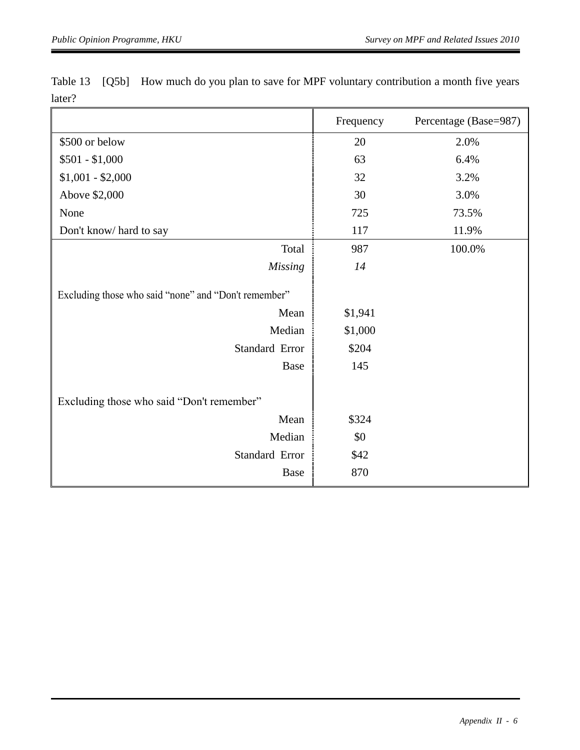|                                                      | Frequency | Percentage (Base=987) |
|------------------------------------------------------|-----------|-----------------------|
| \$500 or below                                       | 20        | 2.0%                  |
| $$501 - $1,000$                                      | 63        | 6.4%                  |
| $$1,001 - $2,000$                                    | 32        | 3.2%                  |
| Above \$2,000                                        | 30        | 3.0%                  |
| None                                                 | 725       | 73.5%                 |
| Don't know/hard to say                               | 117       | 11.9%                 |
| Total                                                | 987       | 100.0%                |
| <b>Missing</b>                                       | 14        |                       |
| Excluding those who said "none" and "Don't remember" |           |                       |
| Mean                                                 | \$1,941   |                       |
| Median                                               | \$1,000   |                       |
| Standard Error                                       | \$204     |                       |
| Base                                                 | 145       |                       |
|                                                      |           |                       |
| Excluding those who said "Don't remember"            |           |                       |
| Mean                                                 | \$324     |                       |
| Median                                               | \$0       |                       |
| Standard Error                                       | \$42      |                       |
| Base                                                 | 870       |                       |

Table 13 [Q5b] How much do you plan to save for MPF voluntary contribution a month five years later?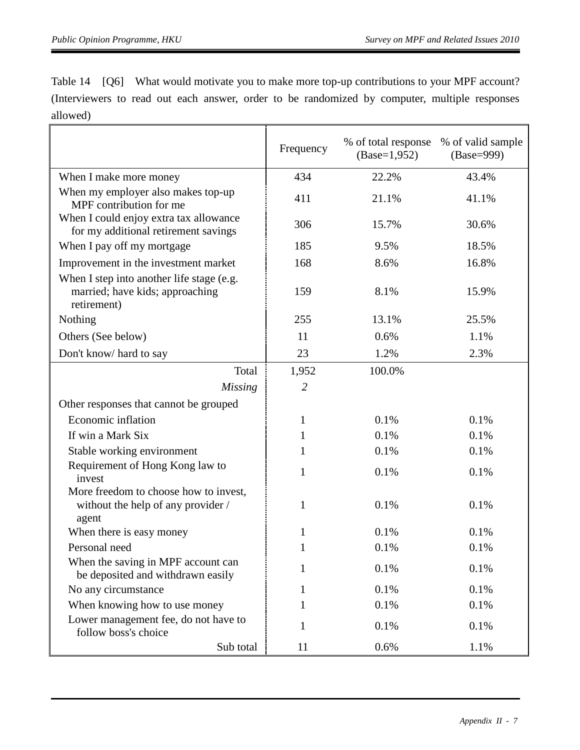Table 14 [Q6] What would motivate you to make more top-up contributions to your MPF account? (Interviewers to read out each answer, order to be randomized by computer, multiple responses allowed)

|                                                                                             | Frequency      | % of total response<br>$(Base=1,952)$ | % of valid sample<br>(Base=999) |
|---------------------------------------------------------------------------------------------|----------------|---------------------------------------|---------------------------------|
| When I make more money                                                                      | 434            | 22.2%                                 | 43.4%                           |
| When my employer also makes top-up<br>MPF contribution for me                               | 411            | 21.1%                                 | 41.1%                           |
| When I could enjoy extra tax allowance<br>for my additional retirement savings              | 306            | 15.7%                                 | 30.6%                           |
| When I pay off my mortgage                                                                  | 185            | 9.5%                                  | 18.5%                           |
| Improvement in the investment market                                                        | 168            | 8.6%                                  | 16.8%                           |
| When I step into another life stage (e.g.<br>married; have kids; approaching<br>retirement) | 159            | 8.1%                                  | 15.9%                           |
| Nothing                                                                                     | 255            | 13.1%                                 | 25.5%                           |
| Others (See below)                                                                          | 11             | 0.6%                                  | 1.1%                            |
| Don't know/hard to say                                                                      | 23             | 1.2%                                  | 2.3%                            |
| Total                                                                                       | 1,952          | 100.0%                                |                                 |
| <b>Missing</b>                                                                              | $\overline{2}$ |                                       |                                 |
| Other responses that cannot be grouped                                                      |                |                                       |                                 |
| Economic inflation                                                                          | $\mathbf{1}$   | 0.1%                                  | 0.1%                            |
| If win a Mark Six                                                                           | 1              | 0.1%                                  | 0.1%                            |
| Stable working environment                                                                  | 1              | 0.1%                                  | 0.1%                            |
| Requirement of Hong Kong law to<br>invest                                                   | 1              | 0.1%                                  | 0.1%                            |
| More freedom to choose how to invest,<br>without the help of any provider /<br>agent        | 1              | 0.1%                                  | 0.1%                            |
| When there is easy money                                                                    | $\mathbf{1}$   | 0.1%                                  | 0.1%                            |
| Personal need                                                                               | $\mathbf 1$    | 0.1%                                  | 0.1%                            |
| When the saving in MPF account can<br>be deposited and withdrawn easily                     | 1              | 0.1%                                  | 0.1%                            |
| No any circumstance                                                                         | 1              | 0.1%                                  | 0.1%                            |
| When knowing how to use money                                                               | 1              | 0.1%                                  | 0.1%                            |
| Lower management fee, do not have to<br>follow boss's choice                                | 1              | 0.1%                                  | 0.1%                            |
| Sub total                                                                                   | 11             | 0.6%                                  | 1.1%                            |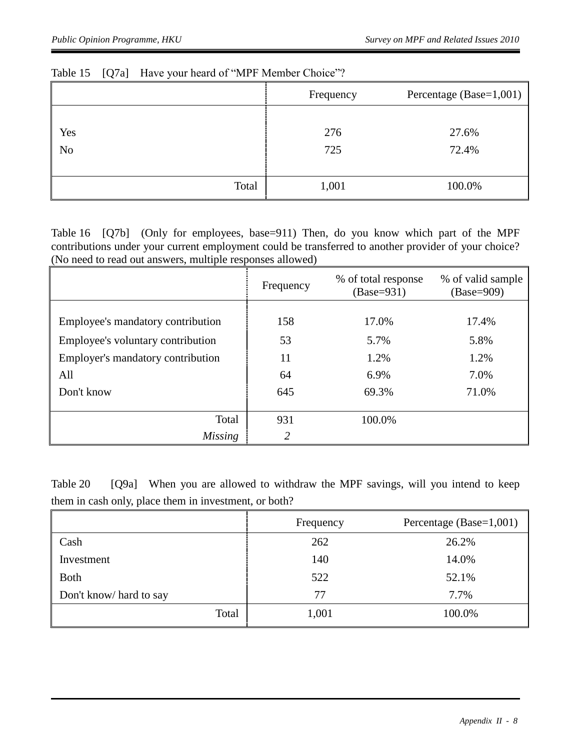|                       | Frequency  | Percentage (Base= $1,001$ ) |
|-----------------------|------------|-----------------------------|
| Yes<br>N <sub>o</sub> | 276<br>725 | 27.6%<br>72.4%              |
| Total                 | 1,001      | 100.0%                      |

## Table 15 [Q7a] Have your heard of "MPF Member Choice"?

Table 16 [Q7b] (Only for employees, base=911) Then, do you know which part of the MPF contributions under your current employment could be transferred to another provider of your choice? (No need to read out answers, multiple responses allowed)

|                                   | Frequency     | % of total response<br>$(Base=931)$ | % of valid sample<br>$(Base=909)$ |
|-----------------------------------|---------------|-------------------------------------|-----------------------------------|
|                                   |               |                                     |                                   |
| Employee's mandatory contribution | 158           | 17.0%                               | 17.4%                             |
| Employee's voluntary contribution | 53            | 5.7%                                | 5.8%                              |
| Employer's mandatory contribution | 11            | 1.2%                                | 1.2%                              |
| All                               | 64            | 6.9%                                | 7.0%                              |
| Don't know                        | 645           | 69.3%                               | 71.0%                             |
|                                   |               |                                     |                                   |
| Total                             | 931           | 100.0%                              |                                   |
| <b>Missing</b>                    | $\mathcal{D}$ |                                     |                                   |

Table 20 [Q9a] When you are allowed to withdraw the MPF savings, will you intend to keep them in cash only, place them in investment, or both?

|                        | Frequency | Percentage (Base=1,001) |
|------------------------|-----------|-------------------------|
| Cash                   | 262       | 26.2%                   |
| Investment             | 140       | 14.0%                   |
| <b>Both</b>            | 522       | 52.1%                   |
| Don't know/hard to say | 77        | 7.7%                    |
| Total                  | 1,001     | 100.0%                  |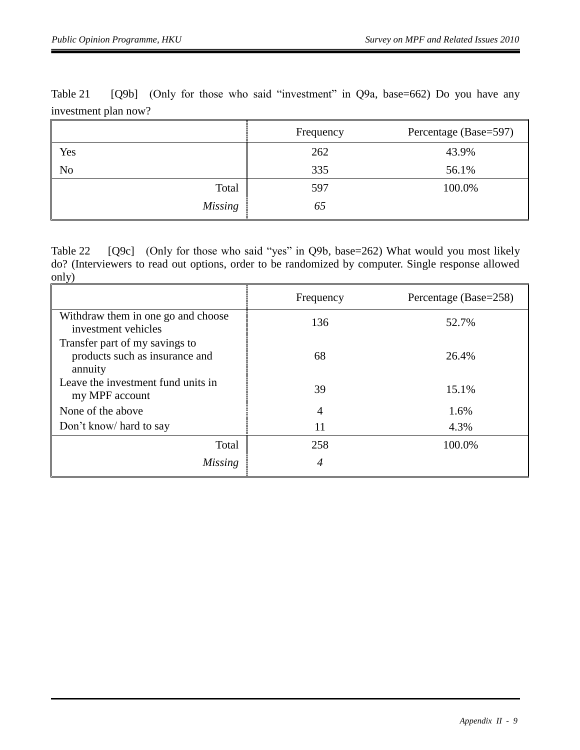|                | Frequency | Percentage (Base=597) |
|----------------|-----------|-----------------------|
| Yes            | 262       | 43.9%                 |
| N <sub>0</sub> | 335       | 56.1%                 |
| Total          | 597       | 100.0%                |
| <b>Missing</b> | 65        |                       |

Table 21 [Q9b] (Only for those who said "investment" in Q9a, base=662) Do you have any investment plan now?

Table 22 [Q9c] (Only for those who said "yes" in Q9b, base=262) What would you most likely do? (Interviewers to read out options, order to be randomized by computer. Single response allowed only)

|                                                                             | Frequency      | Percentage (Base=258) |
|-----------------------------------------------------------------------------|----------------|-----------------------|
| Withdraw them in one go and choose<br>investment vehicles                   | 136            | 52.7%                 |
| Transfer part of my savings to<br>products such as insurance and<br>annuity | 68             | 26.4%                 |
| Leave the investment fund units in<br>my MPF account                        | 39             | 15.1%                 |
| None of the above                                                           | $\overline{4}$ | 1.6%                  |
| Don't know/ hard to say                                                     | 11             | 4.3%                  |
| Total                                                                       | 258            | 100.0%                |
| Missing                                                                     | 4              |                       |